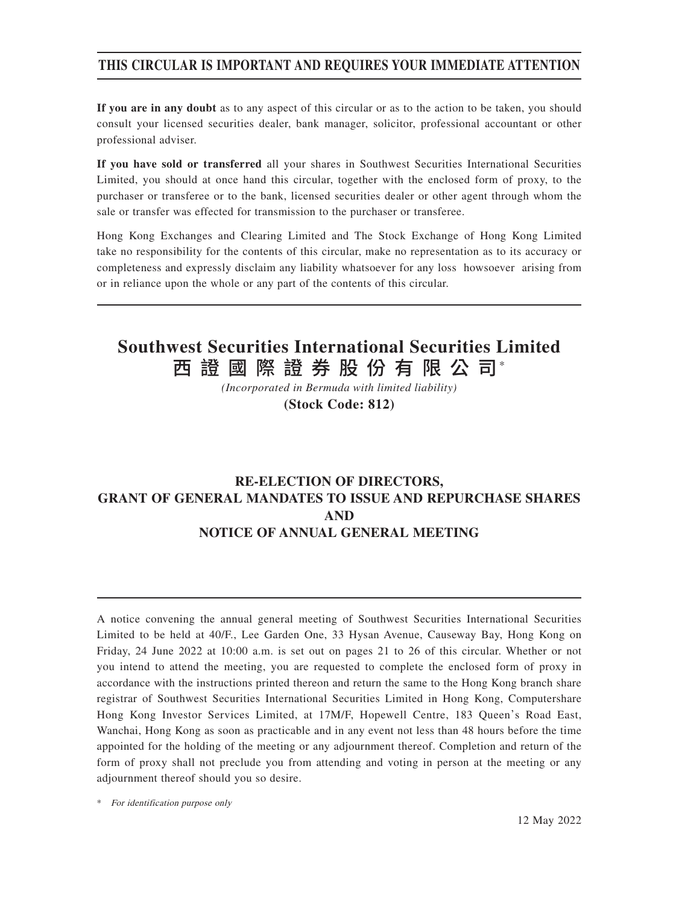### **THIS CIRCULAR IS IMPORTANT AND REQUIRES YOUR IMMEDIATE ATTENTION**

**If you are in any doubt** as to any aspect of this circular or as to the action to be taken, you should consult your licensed securities dealer, bank manager, solicitor, professional accountant or other professional adviser.

**If you have sold or transferred** all your shares in Southwest Securities International Securities Limited, you should at once hand this circular, together with the enclosed form of proxy, to the purchaser or transferee or to the bank, licensed securities dealer or other agent through whom the sale or transfer was effected for transmission to the purchaser or transferee.

Hong Kong Exchanges and Clearing Limited and The Stock Exchange of Hong Kong Limited take no responsibility for the contents of this circular, make no representation as to its accuracy or completeness and expressly disclaim any liability whatsoever for any loss howsoever arising from or in reliance upon the whole or any part of the contents of this circular.

# 西 證 國 際 證 券 股 份 有 限 公 司\* **Southwest Securities International Securities Limited**

*(Incorporated in Bermuda with limited liability)* **(Stock Code: 812)**

## **RE-ELECTION OF DIRECTORS, GRANT OF GENERAL MANDATES TO ISSUE AND REPURCHASE SHARES AND NOTICE OF ANNUAL GENERAL MEETING**

A notice convening the annual general meeting of Southwest Securities International Securities Limited to be held at 40/F., Lee Garden One, 33 Hysan Avenue, Causeway Bay, Hong Kong on Friday, 24 June 2022 at 10:00 a.m. is set out on pages 21 to 26 of this circular. Whether or not you intend to attend the meeting, you are requested to complete the enclosed form of proxy in accordance with the instructions printed thereon and return the same to the Hong Kong branch share registrar of Southwest Securities International Securities Limited in Hong Kong, Computershare Hong Kong Investor Services Limited, at 17M/F, Hopewell Centre, 183 Queen's Road East, Wanchai, Hong Kong as soon as practicable and in any event not less than 48 hours before the time appointed for the holding of the meeting or any adjournment thereof. Completion and return of the form of proxy shall not preclude you from attending and voting in person at the meeting or any adjournment thereof should you so desire.

\* For identification purpose only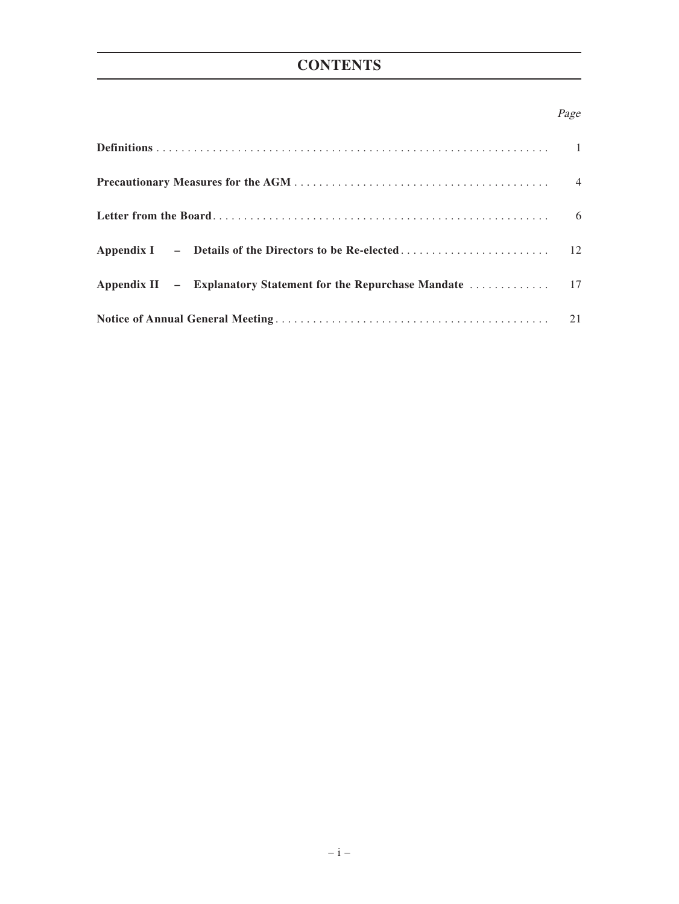# **CONTENTS**

### Page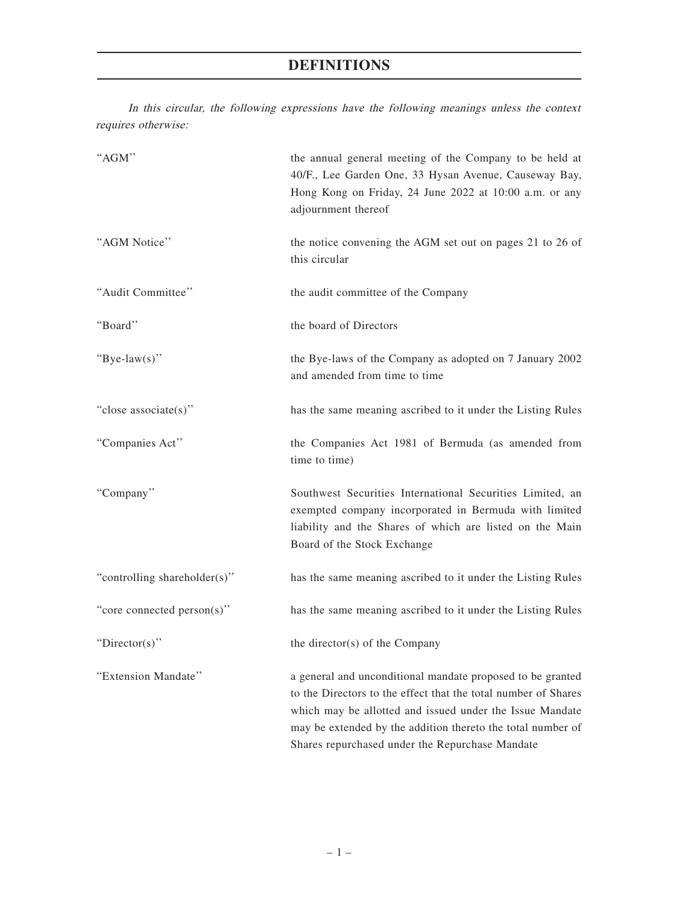# **DEFINITIONS**

In this circular, the following expressions have the following meanings unless the context requires otherwise:

| "AGM"                        | the annual general meeting of the Company to be held at<br>40/F., Lee Garden One, 33 Hysan Avenue, Causeway Bay,<br>Hong Kong on Friday, 24 June 2022 at 10:00 a.m. or any<br>adjournment thereof                                                                                                          |
|------------------------------|------------------------------------------------------------------------------------------------------------------------------------------------------------------------------------------------------------------------------------------------------------------------------------------------------------|
| "AGM Notice"                 | the notice convening the AGM set out on pages 21 to 26 of<br>this circular                                                                                                                                                                                                                                 |
| "Audit Committee"            | the audit committee of the Company                                                                                                                                                                                                                                                                         |
| "Board"                      | the board of Directors                                                                                                                                                                                                                                                                                     |
| "Bye-law(s)"                 | the Bye-laws of the Company as adopted on 7 January 2002<br>and amended from time to time                                                                                                                                                                                                                  |
| "close associate(s)"         | has the same meaning ascribed to it under the Listing Rules                                                                                                                                                                                                                                                |
| "Companies Act"              | the Companies Act 1981 of Bermuda (as amended from<br>time to time)                                                                                                                                                                                                                                        |
| "Company"                    | Southwest Securities International Securities Limited, an<br>exempted company incorporated in Bermuda with limited<br>liability and the Shares of which are listed on the Main<br>Board of the Stock Exchange                                                                                              |
| "controlling shareholder(s)" | has the same meaning ascribed to it under the Listing Rules                                                                                                                                                                                                                                                |
| "core connected person(s)"   | has the same meaning ascribed to it under the Listing Rules                                                                                                                                                                                                                                                |
| " $Directory$ "              | the director(s) of the Company                                                                                                                                                                                                                                                                             |
| "Extension Mandate"          | a general and unconditional mandate proposed to be granted<br>to the Directors to the effect that the total number of Shares<br>which may be allotted and issued under the Issue Mandate<br>may be extended by the addition thereto the total number of<br>Shares repurchased under the Repurchase Mandate |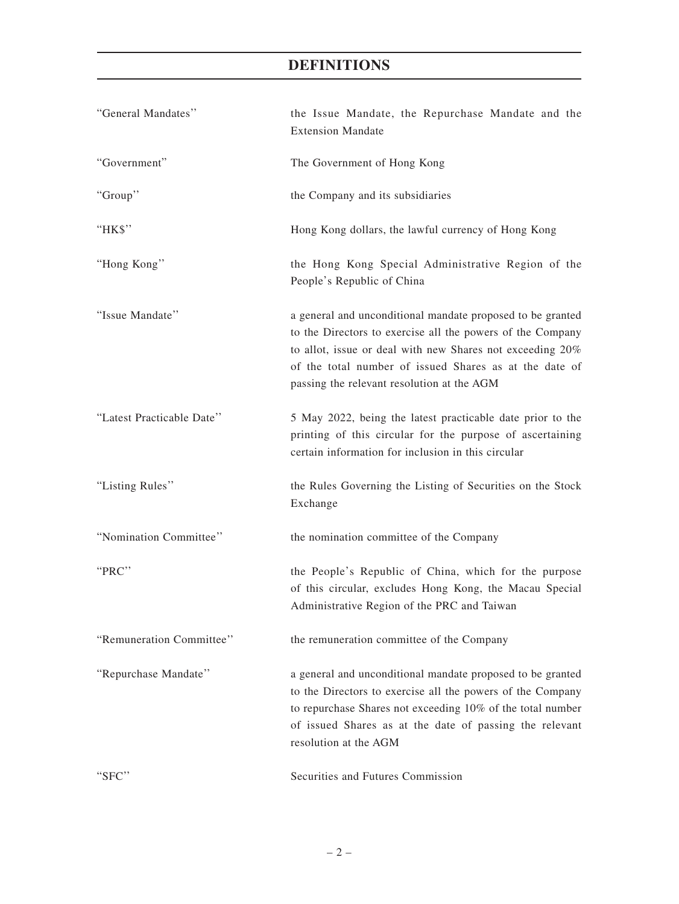# **DEFINITIONS**

| "General Mandates"        | the Issue Mandate, the Repurchase Mandate and the<br><b>Extension Mandate</b>                                                                                                                                                                                                                 |  |
|---------------------------|-----------------------------------------------------------------------------------------------------------------------------------------------------------------------------------------------------------------------------------------------------------------------------------------------|--|
| "Government"              | The Government of Hong Kong                                                                                                                                                                                                                                                                   |  |
| "Group"                   | the Company and its subsidiaries                                                                                                                                                                                                                                                              |  |
| "HK\$"                    | Hong Kong dollars, the lawful currency of Hong Kong                                                                                                                                                                                                                                           |  |
| "Hong Kong"               | the Hong Kong Special Administrative Region of the<br>People's Republic of China                                                                                                                                                                                                              |  |
| "Issue Mandate"           | a general and unconditional mandate proposed to be granted<br>to the Directors to exercise all the powers of the Company<br>to allot, issue or deal with new Shares not exceeding 20%<br>of the total number of issued Shares as at the date of<br>passing the relevant resolution at the AGM |  |
| "Latest Practicable Date" | 5 May 2022, being the latest practicable date prior to the<br>printing of this circular for the purpose of ascertaining<br>certain information for inclusion in this circular                                                                                                                 |  |
| "Listing Rules"           | the Rules Governing the Listing of Securities on the Stock<br>Exchange                                                                                                                                                                                                                        |  |
| "Nomination Committee"    | the nomination committee of the Company                                                                                                                                                                                                                                                       |  |
| "PRC"                     | the People's Republic of China, which for the purpose<br>of this circular, excludes Hong Kong, the Macau Special<br>Administrative Region of the PRC and Taiwan                                                                                                                               |  |
| "Remuneration Committee"  | the remuneration committee of the Company                                                                                                                                                                                                                                                     |  |
| "Repurchase Mandate"      | a general and unconditional mandate proposed to be granted<br>to the Directors to exercise all the powers of the Company<br>to repurchase Shares not exceeding 10% of the total number<br>of issued Shares as at the date of passing the relevant<br>resolution at the AGM                    |  |
| "SFC"                     | Securities and Futures Commission                                                                                                                                                                                                                                                             |  |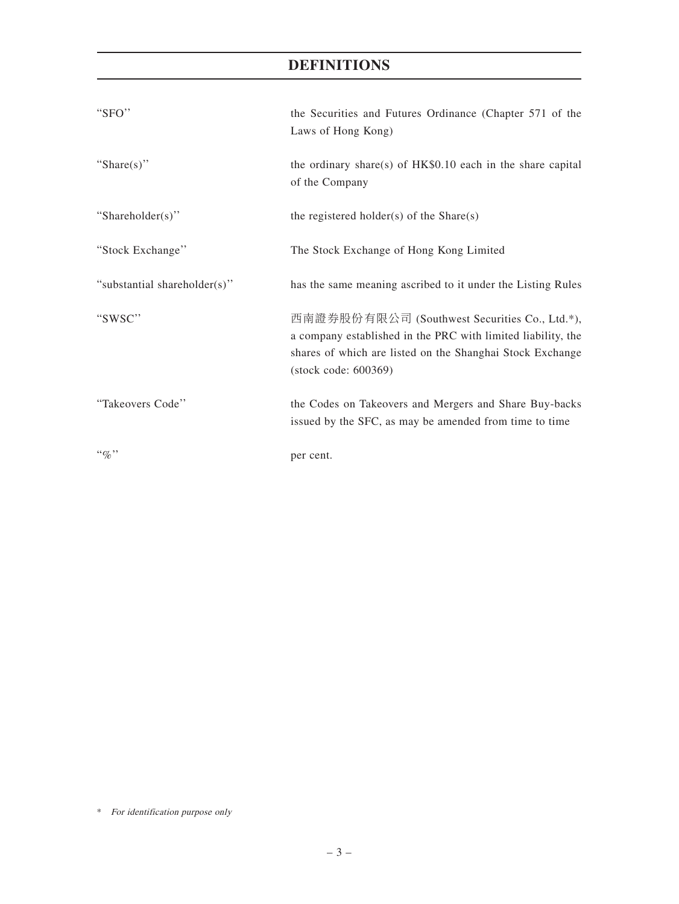# **DEFINITIONS**

| "SFO"                        | the Securities and Futures Ordinance (Chapter 571 of the<br>Laws of Hong Kong)                                                                                                                     |
|------------------------------|----------------------------------------------------------------------------------------------------------------------------------------------------------------------------------------------------|
| "Share $(s)$ "               | the ordinary share(s) of $HK$0.10$ each in the share capital<br>of the Company                                                                                                                     |
| "Shareholder(s)"             | the registered holder(s) of the $Share(s)$                                                                                                                                                         |
| "Stock Exchange"             | The Stock Exchange of Hong Kong Limited                                                                                                                                                            |
| "substantial shareholder(s)" | has the same meaning ascribed to it under the Listing Rules                                                                                                                                        |
| "SWSC"                       | 西南證券股份有限公司 (Southwest Securities Co., Ltd.*),<br>a company established in the PRC with limited liability, the<br>shares of which are listed on the Shanghai Stock Exchange<br>(stock code: 600369) |
| "Takeovers Code"             | the Codes on Takeovers and Mergers and Share Buy-backs<br>issued by the SFC, as may be amended from time to time                                                                                   |
| $``q_0"$                     | per cent.                                                                                                                                                                                          |

\* For identification purpose only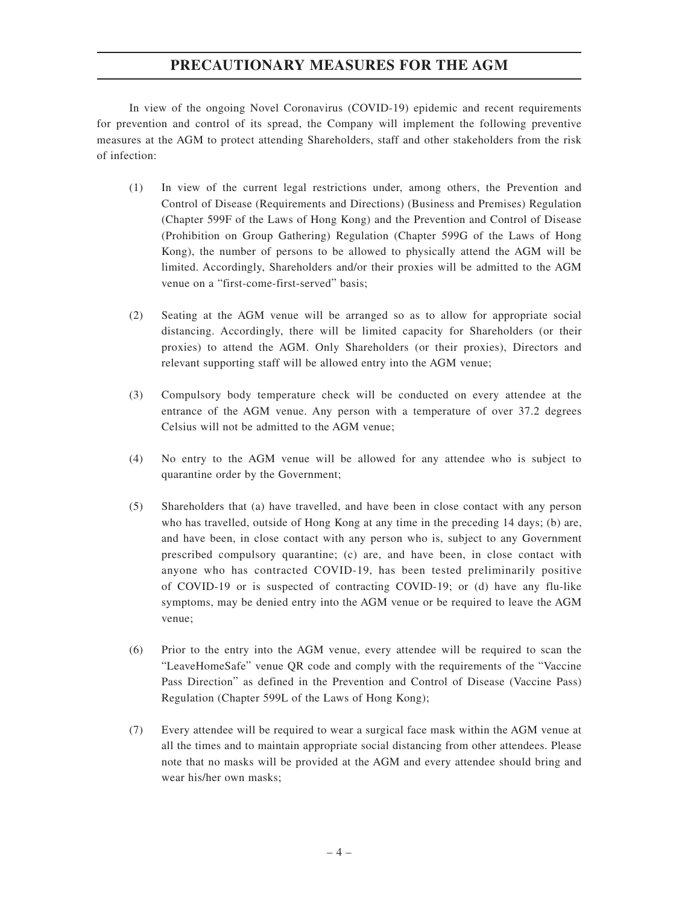### **PRECAUTIONARY MEASURES FOR THE AGM**

In view of the ongoing Novel Coronavirus (COVID-19) epidemic and recent requirements for prevention and control of its spread, the Company will implement the following preventive measures at the AGM to protect attending Shareholders, staff and other stakeholders from the risk of infection:

- (1) In view of the current legal restrictions under, among others, the Prevention and Control of Disease (Requirements and Directions) (Business and Premises) Regulation (Chapter 599F of the Laws of Hong Kong) and the Prevention and Control of Disease (Prohibition on Group Gathering) Regulation (Chapter 599G of the Laws of Hong Kong), the number of persons to be allowed to physically attend the AGM will be limited. Accordingly, Shareholders and/or their proxies will be admitted to the AGM venue on a "first-come-first-served" basis;
- (2) Seating at the AGM venue will be arranged so as to allow for appropriate social distancing. Accordingly, there will be limited capacity for Shareholders (or their proxies) to attend the AGM. Only Shareholders (or their proxies), Directors and relevant supporting staff will be allowed entry into the AGM venue;
- (3) Compulsory body temperature check will be conducted on every attendee at the entrance of the AGM venue. Any person with a temperature of over 37.2 degrees Celsius will not be admitted to the AGM venue;
- (4) No entry to the AGM venue will be allowed for any attendee who is subject to quarantine order by the Government;
- (5) Shareholders that (a) have travelled, and have been in close contact with any person who has travelled, outside of Hong Kong at any time in the preceding 14 days; (b) are, and have been, in close contact with any person who is, subject to any Government prescribed compulsory quarantine; (c) are, and have been, in close contact with anyone who has contracted COVID-19, has been tested preliminarily positive of COVID-19 or is suspected of contracting COVID-19; or (d) have any flu-like symptoms, may be denied entry into the AGM venue or be required to leave the AGM venue;
- (6) Prior to the entry into the AGM venue, every attendee will be required to scan the "LeaveHomeSafe" venue QR code and comply with the requirements of the "Vaccine Pass Direction" as defined in the Prevention and Control of Disease (Vaccine Pass) Regulation (Chapter 599L of the Laws of Hong Kong);
- (7) Every attendee will be required to wear a surgical face mask within the AGM venue at all the times and to maintain appropriate social distancing from other attendees. Please note that no masks will be provided at the AGM and every attendee should bring and wear his/her own masks;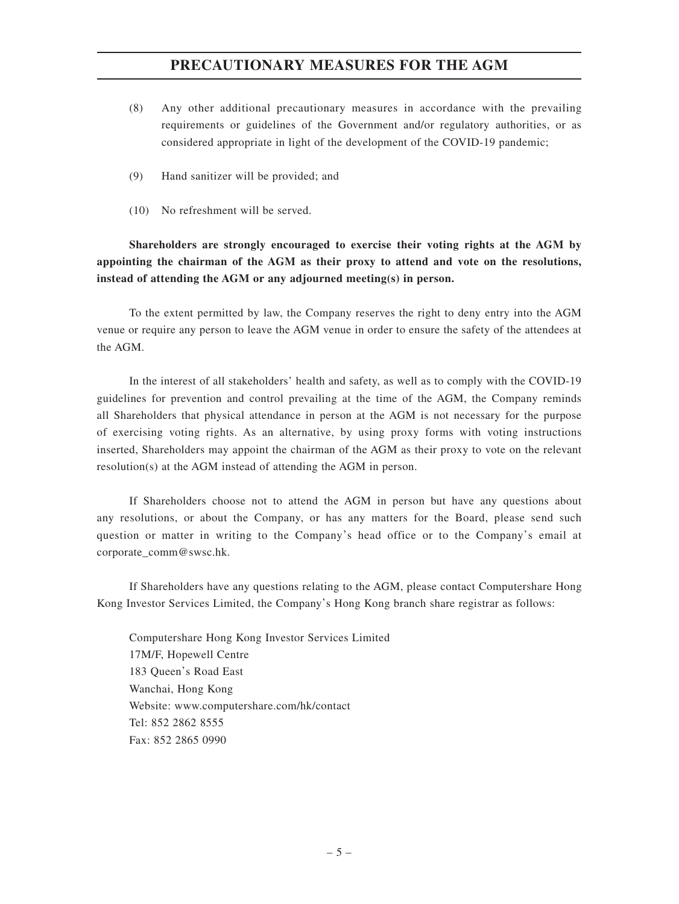### **PRECAUTIONARY MEASURES FOR THE AGM**

- (8) Any other additional precautionary measures in accordance with the prevailing requirements or guidelines of the Government and/or regulatory authorities, or as considered appropriate in light of the development of the COVID-19 pandemic;
- (9) Hand sanitizer will be provided; and
- (10) No refreshment will be served.

**Shareholders are strongly encouraged to exercise their voting rights at the AGM by appointing the chairman of the AGM as their proxy to attend and vote on the resolutions, instead of attending the AGM or any adjourned meeting(s) in person.**

To the extent permitted by law, the Company reserves the right to deny entry into the AGM venue or require any person to leave the AGM venue in order to ensure the safety of the attendees at the AGM.

In the interest of all stakeholders' health and safety, as well as to comply with the COVID-19 guidelines for prevention and control prevailing at the time of the AGM, the Company reminds all Shareholders that physical attendance in person at the AGM is not necessary for the purpose of exercising voting rights. As an alternative, by using proxy forms with voting instructions inserted, Shareholders may appoint the chairman of the AGM as their proxy to vote on the relevant resolution(s) at the AGM instead of attending the AGM in person.

If Shareholders choose not to attend the AGM in person but have any questions about any resolutions, or about the Company, or has any matters for the Board, please send such question or matter in writing to the Company's head office or to the Company's email at corporate\_comm@swsc.hk.

If Shareholders have any questions relating to the AGM, please contact Computershare Hong Kong Investor Services Limited, the Company's Hong Kong branch share registrar as follows:

Computershare Hong Kong Investor Services Limited 17M/F, Hopewell Centre 183 Queen's Road East Wanchai, Hong Kong Website: www.computershare.com/hk/contact Tel: 852 2862 8555 Fax: 852 2865 0990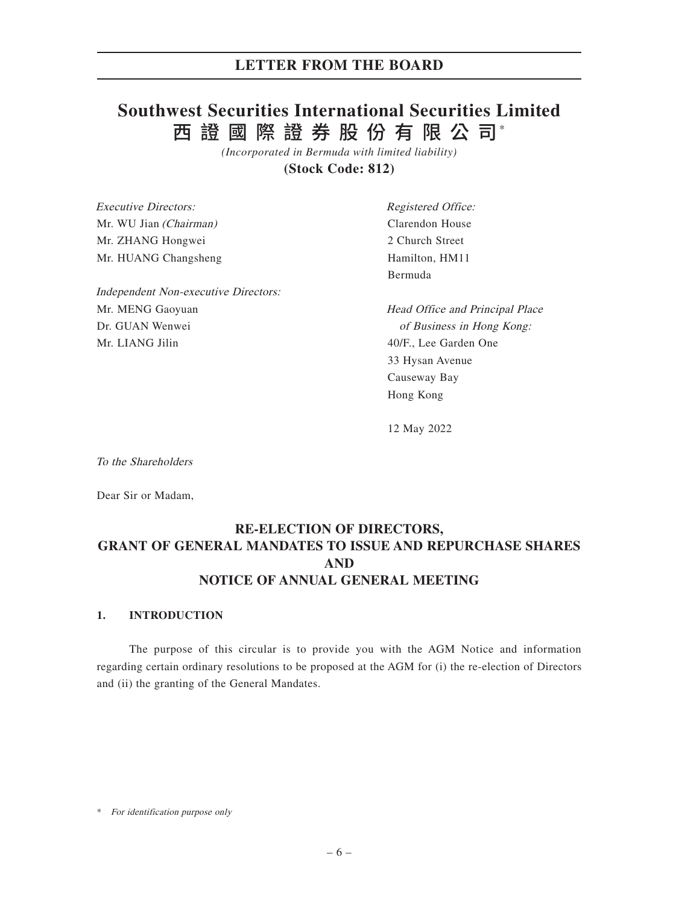### **LETTER FROM THE BOARD**

# 西 證 國 際 證 券 股 份 有 限 公 司\* **Southwest Securities International Securities Limited**

*(Incorporated in Bermuda with limited liability)*

**(Stock Code: 812)**

Executive Directors: Mr. WU Jian (Chairman) Mr. ZHANG Hongwei Mr. HUANG Changsheng Independent Non-executive Directors: Mr. MENG Gaoyuan Dr. GUAN Wenwei Mr. LIANG Jilin Registered Office: Clarendon House 2 Church Street Hamilton, HM11 Bermuda Head Office and Principal Place of Business in Hong Kong: 40/F., Lee Garden One 33 Hysan Avenue Causeway Bay

12 May 2022

Hong Kong

To the Shareholders

Dear Sir or Madam,

### **RE-ELECTION OF DIRECTORS, GRANT OF GENERAL MANDATES TO ISSUE AND REPURCHASE SHARES AND NOTICE OF ANNUAL GENERAL MEETING**

### **1. INTRODUCTION**

The purpose of this circular is to provide you with the AGM Notice and information regarding certain ordinary resolutions to be proposed at the AGM for (i) the re-election of Directors and (ii) the granting of the General Mandates.

<sup>\*</sup> For identification purpose only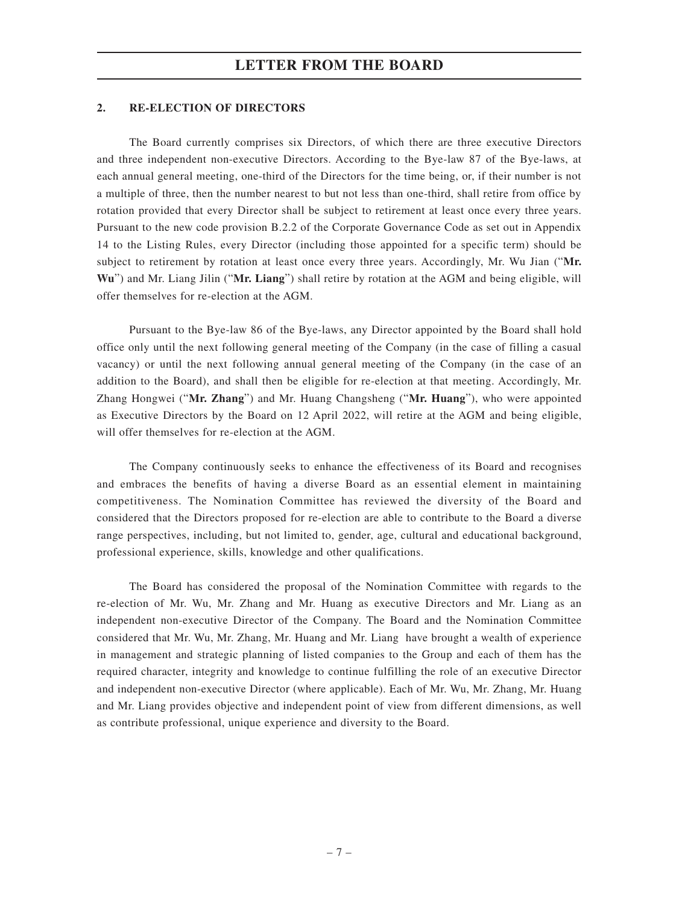#### **2. RE-ELECTION OF DIRECTORS**

The Board currently comprises six Directors, of which there are three executive Directors and three independent non-executive Directors. According to the Bye-law 87 of the Bye-laws, at each annual general meeting, one-third of the Directors for the time being, or, if their number is not a multiple of three, then the number nearest to but not less than one-third, shall retire from office by rotation provided that every Director shall be subject to retirement at least once every three years. Pursuant to the new code provision B.2.2 of the Corporate Governance Code as set out in Appendix 14 to the Listing Rules, every Director (including those appointed for a specific term) should be subject to retirement by rotation at least once every three years. Accordingly, Mr. Wu Jian ("**Mr. Wu**") and Mr. Liang Jilin ("**Mr. Liang**") shall retire by rotation at the AGM and being eligible, will offer themselves for re-election at the AGM.

Pursuant to the Bye-law 86 of the Bye-laws, any Director appointed by the Board shall hold office only until the next following general meeting of the Company (in the case of filling a casual vacancy) or until the next following annual general meeting of the Company (in the case of an addition to the Board), and shall then be eligible for re-election at that meeting. Accordingly, Mr. Zhang Hongwei ("**Mr. Zhang**") and Mr. Huang Changsheng ("**Mr. Huang**"), who were appointed as Executive Directors by the Board on 12 April 2022, will retire at the AGM and being eligible, will offer themselves for re-election at the AGM

The Company continuously seeks to enhance the effectiveness of its Board and recognises and embraces the benefits of having a diverse Board as an essential element in maintaining competitiveness. The Nomination Committee has reviewed the diversity of the Board and considered that the Directors proposed for re-election are able to contribute to the Board a diverse range perspectives, including, but not limited to, gender, age, cultural and educational background, professional experience, skills, knowledge and other qualifications.

The Board has considered the proposal of the Nomination Committee with regards to the re-election of Mr. Wu, Mr. Zhang and Mr. Huang as executive Directors and Mr. Liang as an independent non-executive Director of the Company. The Board and the Nomination Committee considered that Mr. Wu, Mr. Zhang, Mr. Huang and Mr. Liang have brought a wealth of experience in management and strategic planning of listed companies to the Group and each of them has the required character, integrity and knowledge to continue fulfilling the role of an executive Director and independent non-executive Director (where applicable). Each of Mr. Wu, Mr. Zhang, Mr. Huang and Mr. Liang provides objective and independent point of view from different dimensions, as well as contribute professional, unique experience and diversity to the Board.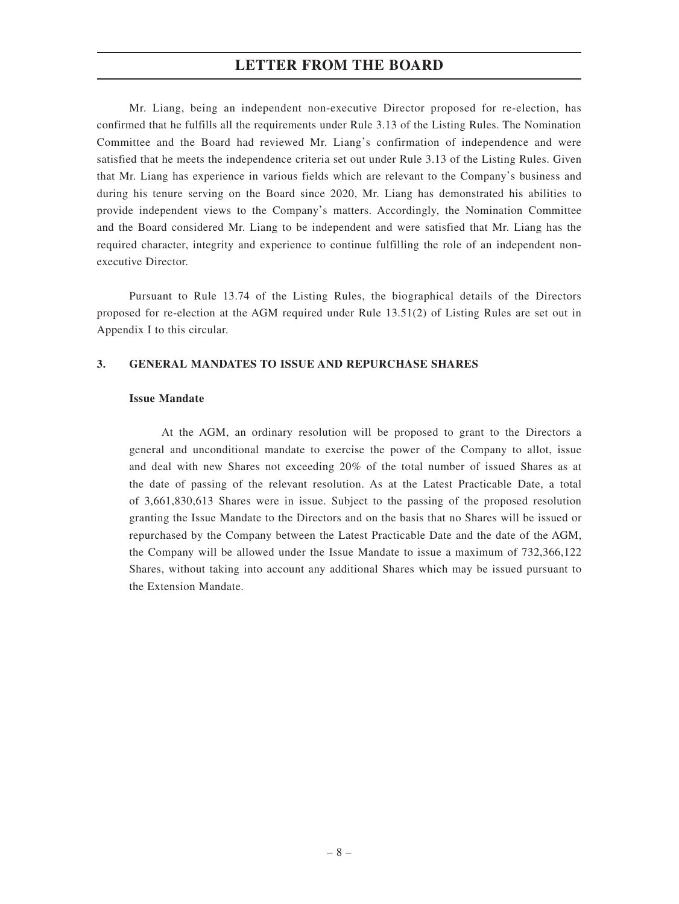### **LETTER FROM THE BOARD**

Mr. Liang, being an independent non-executive Director proposed for re-election, has confirmed that he fulfills all the requirements under Rule 3.13 of the Listing Rules. The Nomination Committee and the Board had reviewed Mr. Liang's confirmation of independence and were satisfied that he meets the independence criteria set out under Rule 3.13 of the Listing Rules. Given that Mr. Liang has experience in various fields which are relevant to the Company's business and during his tenure serving on the Board since 2020, Mr. Liang has demonstrated his abilities to provide independent views to the Company's matters. Accordingly, the Nomination Committee and the Board considered Mr. Liang to be independent and were satisfied that Mr. Liang has the required character, integrity and experience to continue fulfilling the role of an independent nonexecutive Director.

Pursuant to Rule 13.74 of the Listing Rules, the biographical details of the Directors proposed for re-election at the AGM required under Rule 13.51(2) of Listing Rules are set out in Appendix I to this circular.

#### **3. GENERAL MANDATES TO ISSUE AND REPURCHASE SHARES**

#### **Issue Mandate**

At the AGM, an ordinary resolution will be proposed to grant to the Directors a general and unconditional mandate to exercise the power of the Company to allot, issue and deal with new Shares not exceeding 20% of the total number of issued Shares as at the date of passing of the relevant resolution. As at the Latest Practicable Date, a total of 3,661,830,613 Shares were in issue. Subject to the passing of the proposed resolution granting the Issue Mandate to the Directors and on the basis that no Shares will be issued or repurchased by the Company between the Latest Practicable Date and the date of the AGM, the Company will be allowed under the Issue Mandate to issue a maximum of 732,366,122 Shares, without taking into account any additional Shares which may be issued pursuant to the Extension Mandate.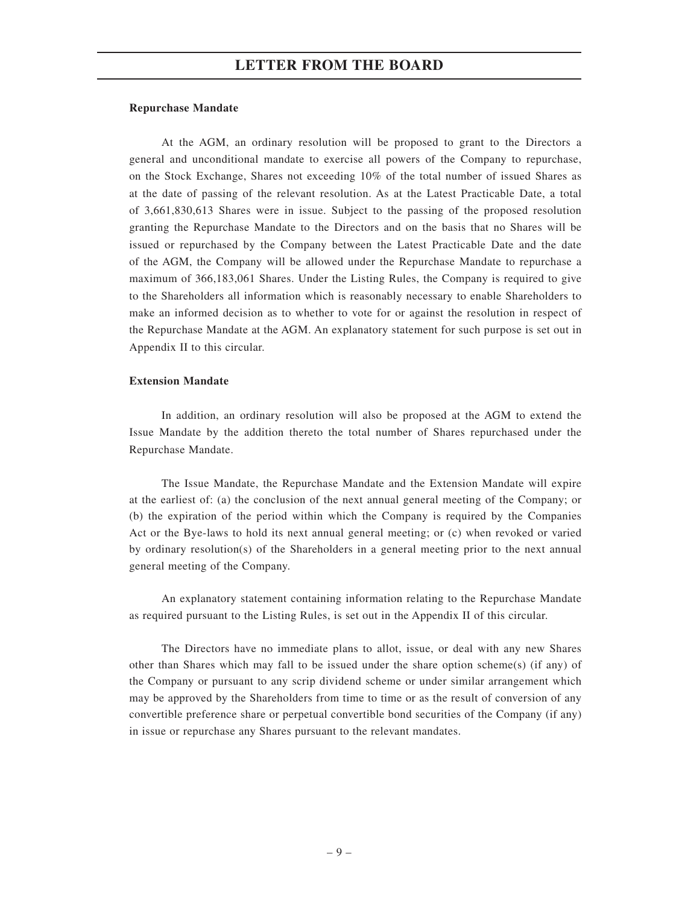#### **Repurchase Mandate**

At the AGM, an ordinary resolution will be proposed to grant to the Directors a general and unconditional mandate to exercise all powers of the Company to repurchase, on the Stock Exchange, Shares not exceeding 10% of the total number of issued Shares as at the date of passing of the relevant resolution. As at the Latest Practicable Date, a total of 3,661,830,613 Shares were in issue. Subject to the passing of the proposed resolution granting the Repurchase Mandate to the Directors and on the basis that no Shares will be issued or repurchased by the Company between the Latest Practicable Date and the date of the AGM, the Company will be allowed under the Repurchase Mandate to repurchase a maximum of 366,183,061 Shares. Under the Listing Rules, the Company is required to give to the Shareholders all information which is reasonably necessary to enable Shareholders to make an informed decision as to whether to vote for or against the resolution in respect of the Repurchase Mandate at the AGM. An explanatory statement for such purpose is set out in Appendix II to this circular.

#### **Extension Mandate**

In addition, an ordinary resolution will also be proposed at the AGM to extend the Issue Mandate by the addition thereto the total number of Shares repurchased under the Repurchase Mandate.

The Issue Mandate, the Repurchase Mandate and the Extension Mandate will expire at the earliest of: (a) the conclusion of the next annual general meeting of the Company; or (b) the expiration of the period within which the Company is required by the Companies Act or the Bye-laws to hold its next annual general meeting; or (c) when revoked or varied by ordinary resolution(s) of the Shareholders in a general meeting prior to the next annual general meeting of the Company.

An explanatory statement containing information relating to the Repurchase Mandate as required pursuant to the Listing Rules, is set out in the Appendix II of this circular.

The Directors have no immediate plans to allot, issue, or deal with any new Shares other than Shares which may fall to be issued under the share option scheme(s) (if any) of the Company or pursuant to any scrip dividend scheme or under similar arrangement which may be approved by the Shareholders from time to time or as the result of conversion of any convertible preference share or perpetual convertible bond securities of the Company (if any) in issue or repurchase any Shares pursuant to the relevant mandates.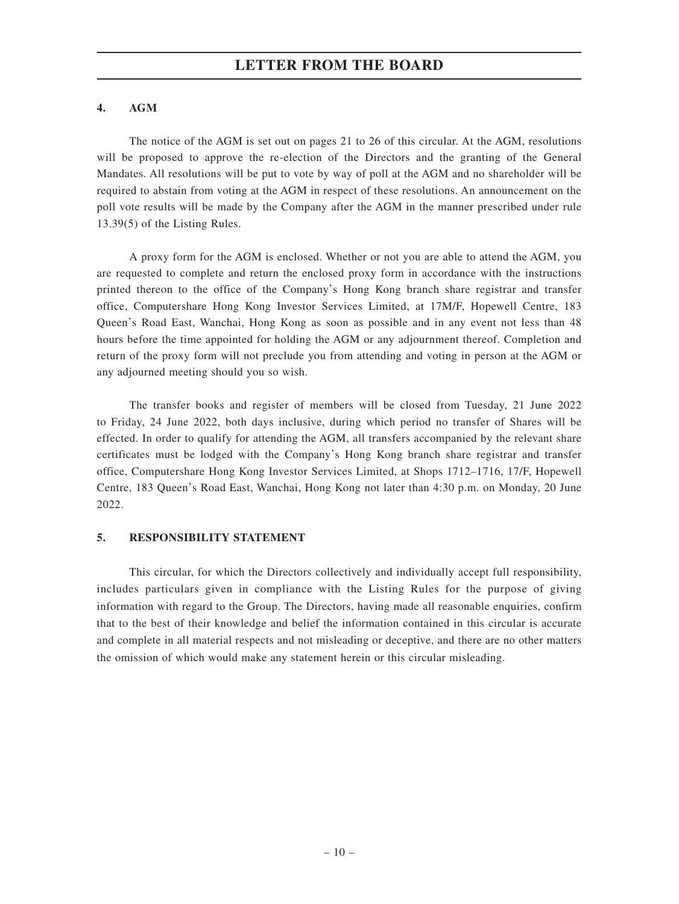#### **4. AGM**

The notice of the AGM is set out on pages 21 to 26 of this circular. At the AGM, resolutions will be proposed to approve the re-election of the Directors and the granting of the General Mandates. All resolutions will be put to vote by way of poll at the AGM and no shareholder will be required to abstain from voting at the AGM in respect of these resolutions. An announcement on the poll vote results will be made by the Company after the AGM in the manner prescribed under rule 13.39(5) of the Listing Rules.

A proxy form for the AGM is enclosed. Whether or not you are able to attend the AGM, you are requested to complete and return the enclosed proxy form in accordance with the instructions printed thereon to the office of the Company's Hong Kong branch share registrar and transfer office, Computershare Hong Kong Investor Services Limited, at 17M/F, Hopewell Centre, 183 Queen's Road East, Wanchai, Hong Kong as soon as possible and in any event not less than 48 hours before the time appointed for holding the AGM or any adjournment thereof. Completion and return of the proxy form will not preclude you from attending and voting in person at the AGM or any adjourned meeting should you so wish.

The transfer books and register of members will be closed from Tuesday, 21 June 2022 to Friday, 24 June 2022, both days inclusive, during which period no transfer of Shares will be effected. In order to qualify for attending the AGM, all transfers accompanied by the relevant share certificates must be lodged with the Company's Hong Kong branch share registrar and transfer office, Computershare Hong Kong Investor Services Limited, at Shops 1712–1716, 17/F, Hopewell Centre, 183 Queen's Road East, Wanchai, Hong Kong not later than 4:30 p.m. on Monday, 20 June 2022.

#### **5. RESPONSIBILITY STATEMENT**

This circular, for which the Directors collectively and individually accept full responsibility, includes particulars given in compliance with the Listing Rules for the purpose of giving information with regard to the Group. The Directors, having made all reasonable enquiries, confirm that to the best of their knowledge and belief the information contained in this circular is accurate and complete in all material respects and not misleading or deceptive, and there are no other matters the omission of which would make any statement herein or this circular misleading.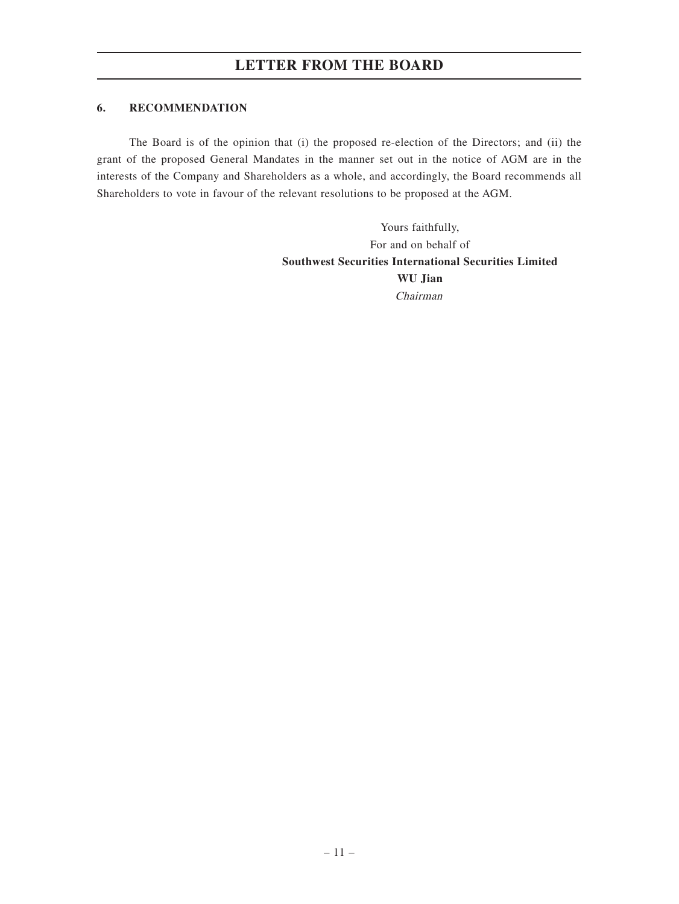### **6. RECOMMENDATION**

The Board is of the opinion that (i) the proposed re-election of the Directors; and (ii) the grant of the proposed General Mandates in the manner set out in the notice of AGM are in the interests of the Company and Shareholders as a whole, and accordingly, the Board recommends all Shareholders to vote in favour of the relevant resolutions to be proposed at the AGM.

> Yours faithfully, For and on behalf of **Southwest Securities International Securities Limited WU Jian** Chairman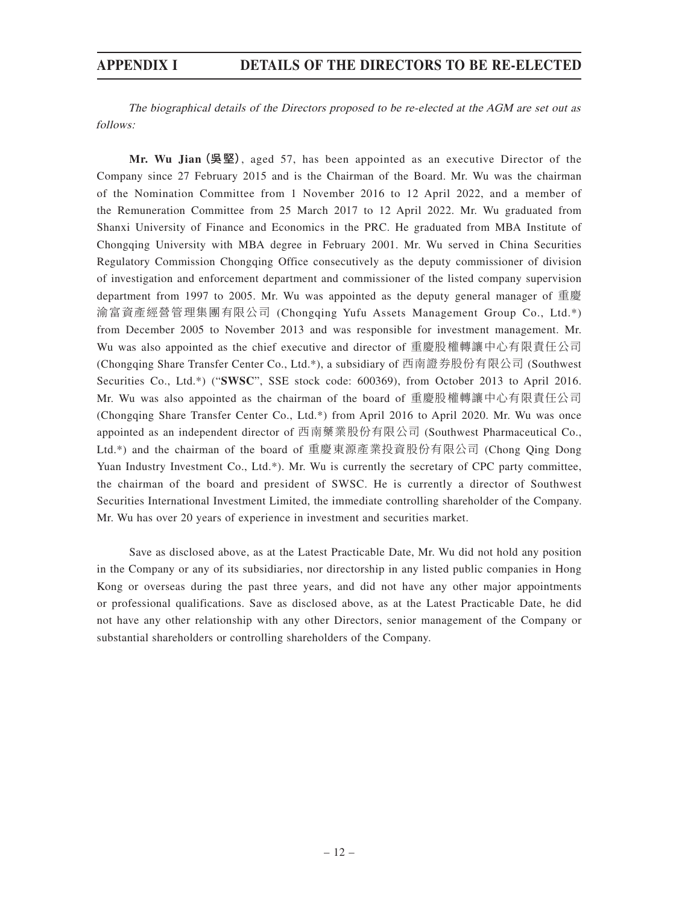The biographical details of the Directors proposed to be re-elected at the AGM are set out as follows:

**Mr. Wu Jian**(吳堅), aged 57, has been appointed as an executive Director of the Company since 27 February 2015 and is the Chairman of the Board. Mr. Wu was the chairman of the Nomination Committee from 1 November 2016 to 12 April 2022, and a member of the Remuneration Committee from 25 March 2017 to 12 April 2022. Mr. Wu graduated from Shanxi University of Finance and Economics in the PRC. He graduated from MBA Institute of Chongqing University with MBA degree in February 2001. Mr. Wu served in China Securities Regulatory Commission Chongqing Office consecutively as the deputy commissioner of division of investigation and enforcement department and commissioner of the listed company supervision department from 1997 to 2005. Mr. Wu was appointed as the deputy general manager of 重慶 渝富資產經營管理集團有限公司 (Chongqing Yufu Assets Management Group Co., Ltd.\*) from December 2005 to November 2013 and was responsible for investment management. Mr. Wu was also appointed as the chief executive and director of 重慶股權轉讓中心有限責任公司 (Chongqing Share Transfer Center Co., Ltd.\*), a subsidiary of 西南證券股份有限公司 (Southwest Securities Co., Ltd.\*) ("**SWSC**", SSE stock code: 600369), from October 2013 to April 2016. Mr. Wu was also appointed as the chairman of the board of 重慶股權轉讓中心有限責任公司 (Chongqing Share Transfer Center Co., Ltd.\*) from April 2016 to April 2020. Mr. Wu was once appointed as an independent director of 西南藥業股份有限公司 (Southwest Pharmaceutical Co., Ltd.\*) and the chairman of the board of 重慶東源產業投資股份有限公司 (Chong Qing Dong Yuan Industry Investment Co., Ltd.\*). Mr. Wu is currently the secretary of CPC party committee, the chairman of the board and president of SWSC. He is currently a director of Southwest Securities International Investment Limited, the immediate controlling shareholder of the Company. Mr. Wu has over 20 years of experience in investment and securities market.

Save as disclosed above, as at the Latest Practicable Date, Mr. Wu did not hold any position in the Company or any of its subsidiaries, nor directorship in any listed public companies in Hong Kong or overseas during the past three years, and did not have any other major appointments or professional qualifications. Save as disclosed above, as at the Latest Practicable Date, he did not have any other relationship with any other Directors, senior management of the Company or substantial shareholders or controlling shareholders of the Company.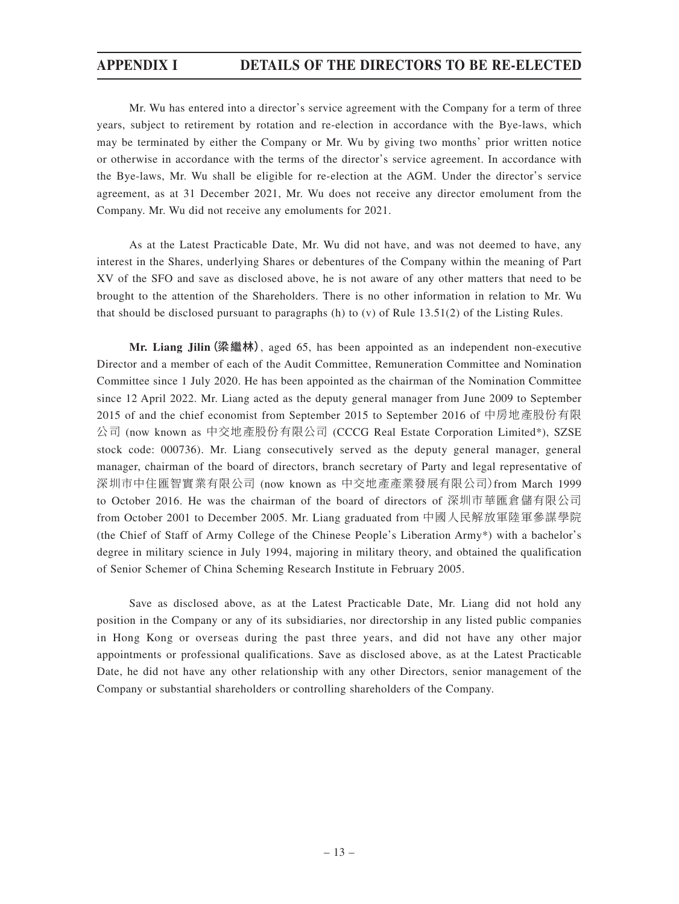Mr. Wu has entered into a director's service agreement with the Company for a term of three years, subject to retirement by rotation and re-election in accordance with the Bye-laws, which may be terminated by either the Company or Mr. Wu by giving two months' prior written notice or otherwise in accordance with the terms of the director's service agreement. In accordance with the Bye-laws, Mr. Wu shall be eligible for re-election at the AGM. Under the director's service agreement, as at 31 December 2021, Mr. Wu does not receive any director emolument from the Company. Mr. Wu did not receive any emoluments for 2021.

As at the Latest Practicable Date, Mr. Wu did not have, and was not deemed to have, any interest in the Shares, underlying Shares or debentures of the Company within the meaning of Part XV of the SFO and save as disclosed above, he is not aware of any other matters that need to be brought to the attention of the Shareholders. There is no other information in relation to Mr. Wu that should be disclosed pursuant to paragraphs (h) to (v) of Rule 13.51(2) of the Listing Rules.

**Mr. Liang Jilin**(梁繼林), aged 65, has been appointed as an independent non-executive Director and a member of each of the Audit Committee, Remuneration Committee and Nomination Committee since 1 July 2020. He has been appointed as the chairman of the Nomination Committee since 12 April 2022. Mr. Liang acted as the deputy general manager from June 2009 to September 2015 of and the chief economist from September 2015 to September 2016 of 中房地產股份有限 公司 (now known as 中交地產股份有限公司 (CCCG Real Estate Corporation Limited\*), SZSE stock code: 000736). Mr. Liang consecutively served as the deputy general manager, general manager, chairman of the board of directors, branch secretary of Party and legal representative of 深圳市中住匯智實業有限公司 (now known as 中交地產產業發展有限公司)from March 1999 to October 2016. He was the chairman of the board of directors of 深圳市華匯倉儲有限公司 from October 2001 to December 2005. Mr. Liang graduated from 中國人民解放軍陸軍參謀學院 (the Chief of Staff of Army College of the Chinese People's Liberation Army\*) with a bachelor's degree in military science in July 1994, majoring in military theory, and obtained the qualification of Senior Schemer of China Scheming Research Institute in February 2005.

Save as disclosed above, as at the Latest Practicable Date, Mr. Liang did not hold any position in the Company or any of its subsidiaries, nor directorship in any listed public companies in Hong Kong or overseas during the past three years, and did not have any other major appointments or professional qualifications. Save as disclosed above, as at the Latest Practicable Date, he did not have any other relationship with any other Directors, senior management of the Company or substantial shareholders or controlling shareholders of the Company.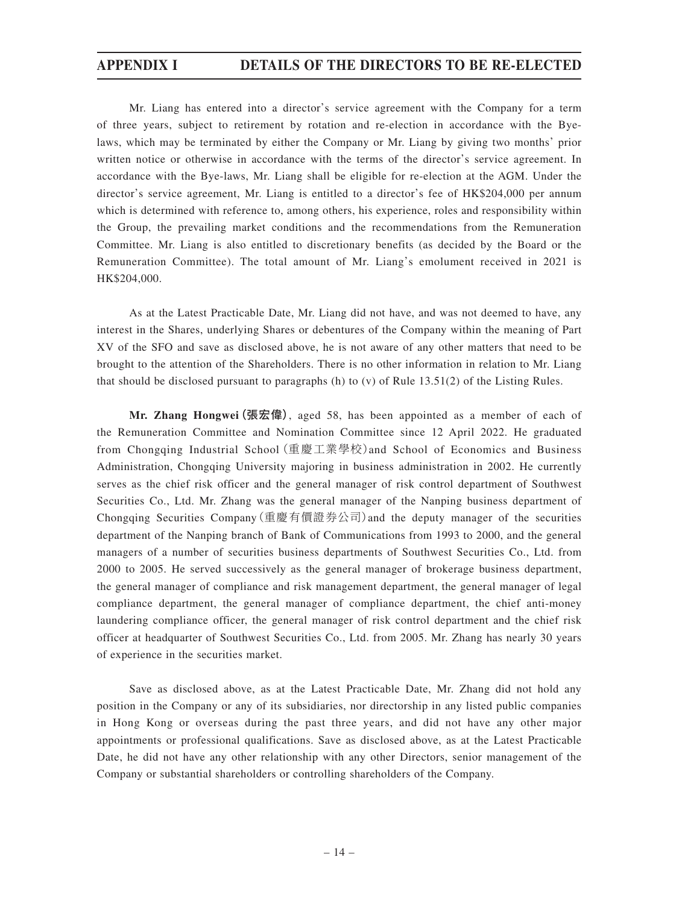Mr. Liang has entered into a director's service agreement with the Company for a term of three years, subject to retirement by rotation and re-election in accordance with the Byelaws, which may be terminated by either the Company or Mr. Liang by giving two months' prior written notice or otherwise in accordance with the terms of the director's service agreement. In accordance with the Bye-laws, Mr. Liang shall be eligible for re-election at the AGM. Under the director's service agreement, Mr. Liang is entitled to a director's fee of HK\$204,000 per annum which is determined with reference to, among others, his experience, roles and responsibility within the Group, the prevailing market conditions and the recommendations from the Remuneration Committee. Mr. Liang is also entitled to discretionary benefits (as decided by the Board or the Remuneration Committee). The total amount of Mr. Liang's emolument received in 2021 is HK\$204,000.

As at the Latest Practicable Date, Mr. Liang did not have, and was not deemed to have, any interest in the Shares, underlying Shares or debentures of the Company within the meaning of Part XV of the SFO and save as disclosed above, he is not aware of any other matters that need to be brought to the attention of the Shareholders. There is no other information in relation to Mr. Liang that should be disclosed pursuant to paragraphs (h) to (v) of Rule 13.51(2) of the Listing Rules.

**Mr. Zhang Hongwei**(張宏偉), aged 58, has been appointed as a member of each of the Remuneration Committee and Nomination Committee since 12 April 2022. He graduated from Chongqing Industrial School(重慶工業學校)and School of Economics and Business Administration, Chongqing University majoring in business administration in 2002. He currently serves as the chief risk officer and the general manager of risk control department of Southwest Securities Co., Ltd. Mr. Zhang was the general manager of the Nanping business department of Chongqing Securities Company(重慶有價證券公司)and the deputy manager of the securities department of the Nanping branch of Bank of Communications from 1993 to 2000, and the general managers of a number of securities business departments of Southwest Securities Co., Ltd. from 2000 to 2005. He served successively as the general manager of brokerage business department, the general manager of compliance and risk management department, the general manager of legal compliance department, the general manager of compliance department, the chief anti-money laundering compliance officer, the general manager of risk control department and the chief risk officer at headquarter of Southwest Securities Co., Ltd. from 2005. Mr. Zhang has nearly 30 years of experience in the securities market.

Save as disclosed above, as at the Latest Practicable Date, Mr. Zhang did not hold any position in the Company or any of its subsidiaries, nor directorship in any listed public companies in Hong Kong or overseas during the past three years, and did not have any other major appointments or professional qualifications. Save as disclosed above, as at the Latest Practicable Date, he did not have any other relationship with any other Directors, senior management of the Company or substantial shareholders or controlling shareholders of the Company.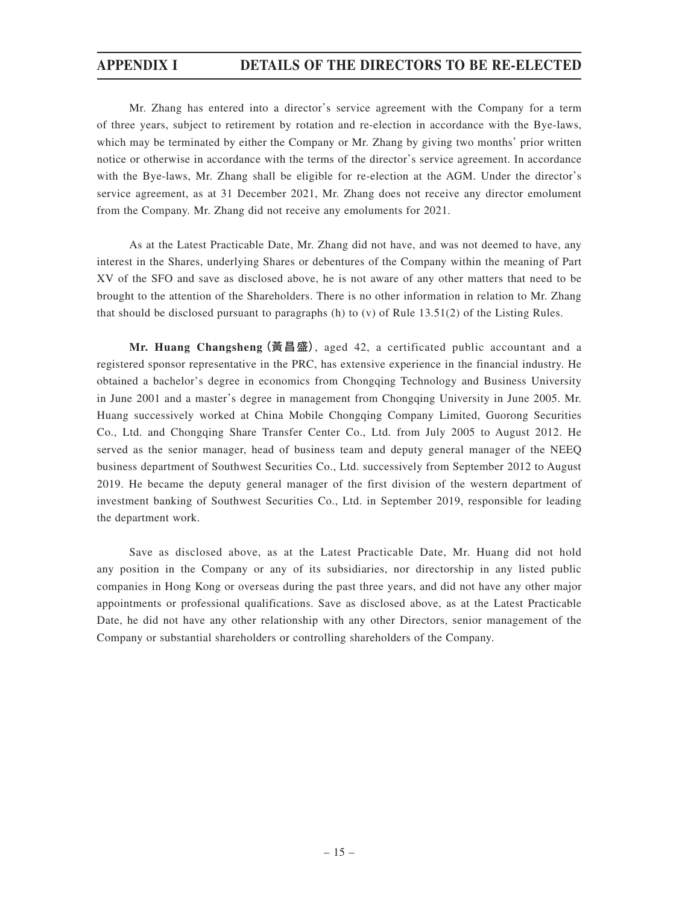Mr. Zhang has entered into a director's service agreement with the Company for a term of three years, subject to retirement by rotation and re-election in accordance with the Bye-laws, which may be terminated by either the Company or Mr. Zhang by giving two months' prior written notice or otherwise in accordance with the terms of the director's service agreement. In accordance with the Bye-laws, Mr. Zhang shall be eligible for re-election at the AGM. Under the director's service agreement, as at 31 December 2021, Mr. Zhang does not receive any director emolument from the Company. Mr. Zhang did not receive any emoluments for 2021.

As at the Latest Practicable Date, Mr. Zhang did not have, and was not deemed to have, any interest in the Shares, underlying Shares or debentures of the Company within the meaning of Part XV of the SFO and save as disclosed above, he is not aware of any other matters that need to be brought to the attention of the Shareholders. There is no other information in relation to Mr. Zhang that should be disclosed pursuant to paragraphs (h) to (v) of Rule 13.51(2) of the Listing Rules.

**Mr. Huang Changsheng**(黃昌盛), aged 42, a certificated public accountant and a registered sponsor representative in the PRC, has extensive experience in the financial industry. He obtained a bachelor's degree in economics from Chongqing Technology and Business University in June 2001 and a master's degree in management from Chongqing University in June 2005. Mr. Huang successively worked at China Mobile Chongqing Company Limited, Guorong Securities Co., Ltd. and Chongqing Share Transfer Center Co., Ltd. from July 2005 to August 2012. He served as the senior manager, head of business team and deputy general manager of the NEEQ business department of Southwest Securities Co., Ltd. successively from September 2012 to August 2019. He became the deputy general manager of the first division of the western department of investment banking of Southwest Securities Co., Ltd. in September 2019, responsible for leading the department work.

Save as disclosed above, as at the Latest Practicable Date, Mr. Huang did not hold any position in the Company or any of its subsidiaries, nor directorship in any listed public companies in Hong Kong or overseas during the past three years, and did not have any other major appointments or professional qualifications. Save as disclosed above, as at the Latest Practicable Date, he did not have any other relationship with any other Directors, senior management of the Company or substantial shareholders or controlling shareholders of the Company.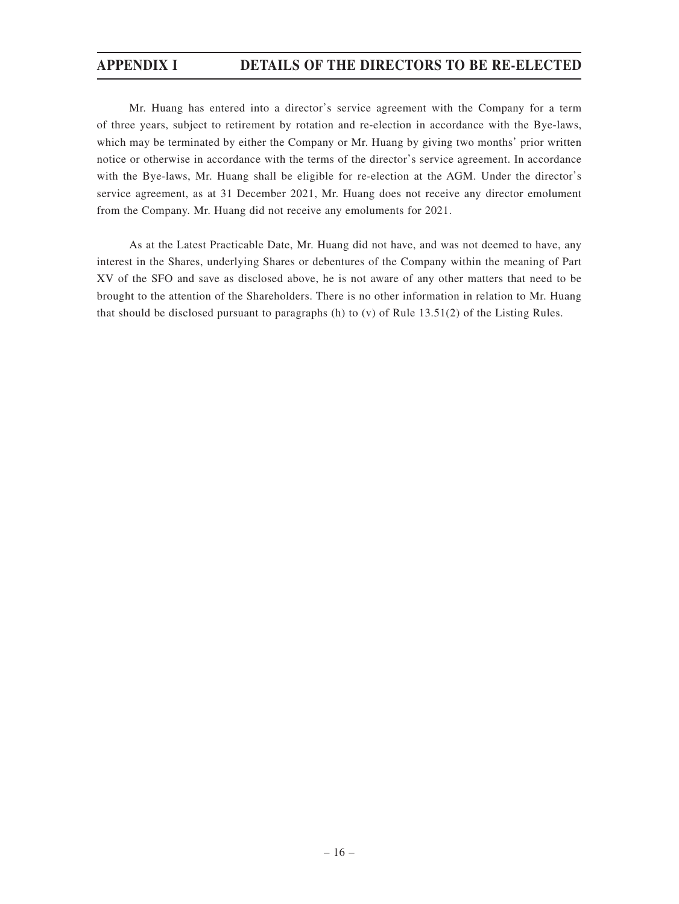Mr. Huang has entered into a director's service agreement with the Company for a term of three years, subject to retirement by rotation and re-election in accordance with the Bye-laws, which may be terminated by either the Company or Mr. Huang by giving two months' prior written notice or otherwise in accordance with the terms of the director's service agreement. In accordance with the Bye-laws, Mr. Huang shall be eligible for re-election at the AGM. Under the director's service agreement, as at 31 December 2021, Mr. Huang does not receive any director emolument from the Company. Mr. Huang did not receive any emoluments for 2021.

As at the Latest Practicable Date, Mr. Huang did not have, and was not deemed to have, any interest in the Shares, underlying Shares or debentures of the Company within the meaning of Part XV of the SFO and save as disclosed above, he is not aware of any other matters that need to be brought to the attention of the Shareholders. There is no other information in relation to Mr. Huang that should be disclosed pursuant to paragraphs (h) to (v) of Rule 13.51(2) of the Listing Rules.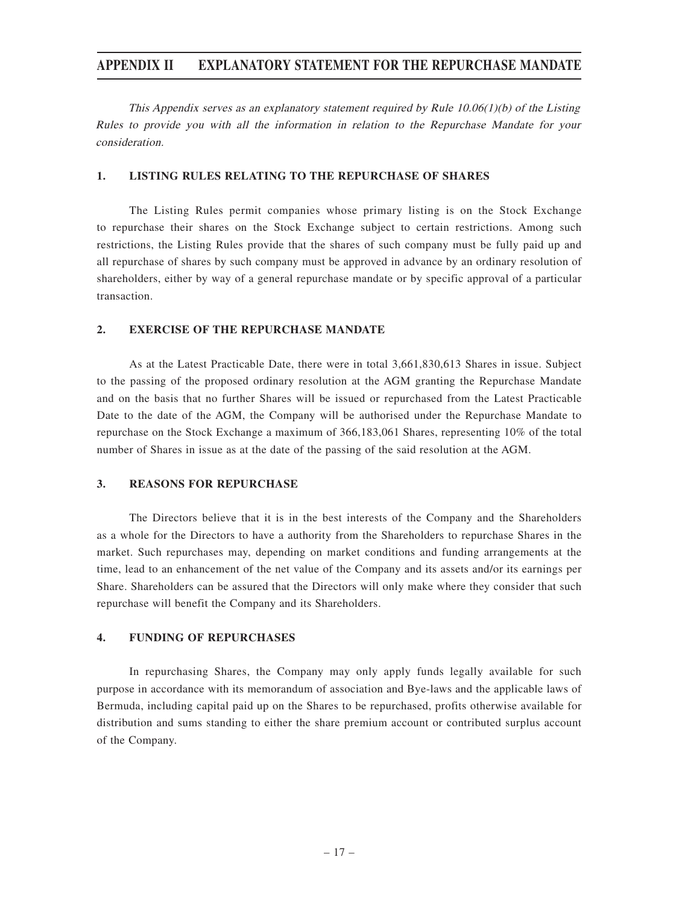This Appendix serves as an explanatory statement required by Rule  $10.06(1)(b)$  of the Listing Rules to provide you with all the information in relation to the Repurchase Mandate for your consideration.

#### **1. LISTING RULES RELATING TO THE REPURCHASE OF SHARES**

The Listing Rules permit companies whose primary listing is on the Stock Exchange to repurchase their shares on the Stock Exchange subject to certain restrictions. Among such restrictions, the Listing Rules provide that the shares of such company must be fully paid up and all repurchase of shares by such company must be approved in advance by an ordinary resolution of shareholders, either by way of a general repurchase mandate or by specific approval of a particular transaction.

#### **2. EXERCISE OF THE REPURCHASE MANDATE**

As at the Latest Practicable Date, there were in total 3,661,830,613 Shares in issue. Subject to the passing of the proposed ordinary resolution at the AGM granting the Repurchase Mandate and on the basis that no further Shares will be issued or repurchased from the Latest Practicable Date to the date of the AGM, the Company will be authorised under the Repurchase Mandate to repurchase on the Stock Exchange a maximum of 366,183,061 Shares, representing 10% of the total number of Shares in issue as at the date of the passing of the said resolution at the AGM.

#### **3. REASONS FOR REPURCHASE**

The Directors believe that it is in the best interests of the Company and the Shareholders as a whole for the Directors to have a authority from the Shareholders to repurchase Shares in the market. Such repurchases may, depending on market conditions and funding arrangements at the time, lead to an enhancement of the net value of the Company and its assets and/or its earnings per Share. Shareholders can be assured that the Directors will only make where they consider that such repurchase will benefit the Company and its Shareholders.

#### **4. FUNDING OF REPURCHASES**

In repurchasing Shares, the Company may only apply funds legally available for such purpose in accordance with its memorandum of association and Bye-laws and the applicable laws of Bermuda, including capital paid up on the Shares to be repurchased, profits otherwise available for distribution and sums standing to either the share premium account or contributed surplus account of the Company.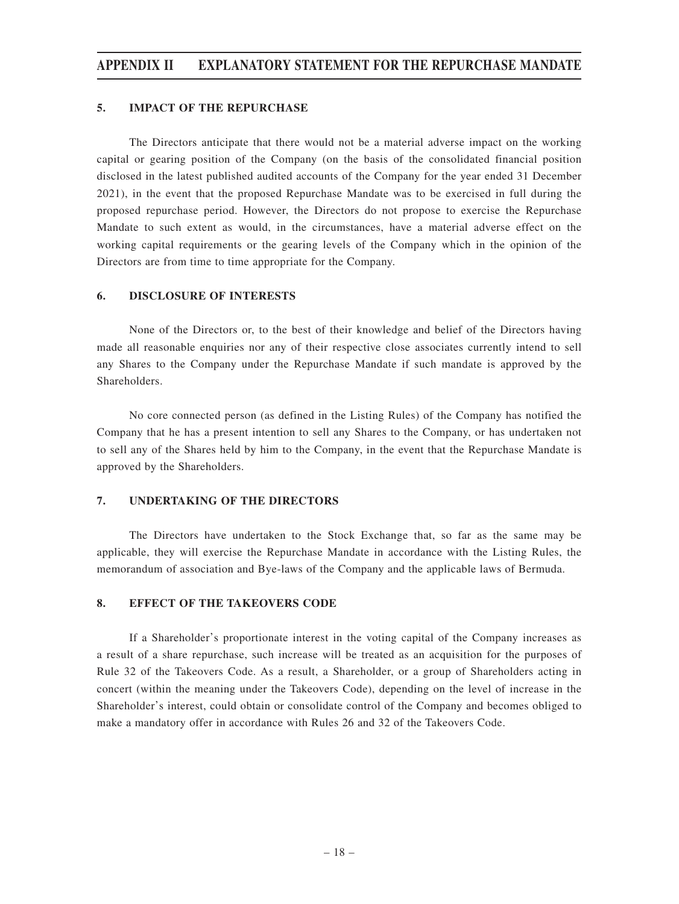#### **5. IMPACT OF THE REPURCHASE**

The Directors anticipate that there would not be a material adverse impact on the working capital or gearing position of the Company (on the basis of the consolidated financial position disclosed in the latest published audited accounts of the Company for the year ended 31 December 2021), in the event that the proposed Repurchase Mandate was to be exercised in full during the proposed repurchase period. However, the Directors do not propose to exercise the Repurchase Mandate to such extent as would, in the circumstances, have a material adverse effect on the working capital requirements or the gearing levels of the Company which in the opinion of the Directors are from time to time appropriate for the Company.

#### **6. DISCLOSURE OF INTERESTS**

None of the Directors or, to the best of their knowledge and belief of the Directors having made all reasonable enquiries nor any of their respective close associates currently intend to sell any Shares to the Company under the Repurchase Mandate if such mandate is approved by the **Shareholders** 

No core connected person (as defined in the Listing Rules) of the Company has notified the Company that he has a present intention to sell any Shares to the Company, or has undertaken not to sell any of the Shares held by him to the Company, in the event that the Repurchase Mandate is approved by the Shareholders.

#### **7. UNDERTAKING OF THE DIRECTORS**

The Directors have undertaken to the Stock Exchange that, so far as the same may be applicable, they will exercise the Repurchase Mandate in accordance with the Listing Rules, the memorandum of association and Bye-laws of the Company and the applicable laws of Bermuda.

#### **8. EFFECT OF THE TAKEOVERS CODE**

If a Shareholder's proportionate interest in the voting capital of the Company increases as a result of a share repurchase, such increase will be treated as an acquisition for the purposes of Rule 32 of the Takeovers Code. As a result, a Shareholder, or a group of Shareholders acting in concert (within the meaning under the Takeovers Code), depending on the level of increase in the Shareholder's interest, could obtain or consolidate control of the Company and becomes obliged to make a mandatory offer in accordance with Rules 26 and 32 of the Takeovers Code.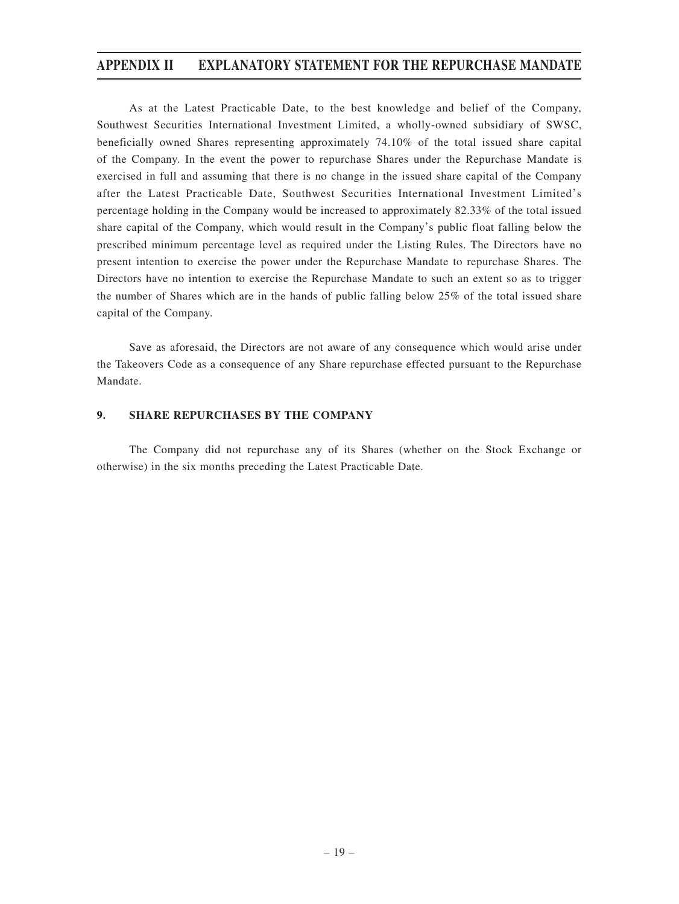As at the Latest Practicable Date, to the best knowledge and belief of the Company, Southwest Securities International Investment Limited, a wholly-owned subsidiary of SWSC, beneficially owned Shares representing approximately 74.10% of the total issued share capital of the Company. In the event the power to repurchase Shares under the Repurchase Mandate is exercised in full and assuming that there is no change in the issued share capital of the Company after the Latest Practicable Date, Southwest Securities International Investment Limited's percentage holding in the Company would be increased to approximately 82.33% of the total issued share capital of the Company, which would result in the Company's public float falling below the prescribed minimum percentage level as required under the Listing Rules. The Directors have no present intention to exercise the power under the Repurchase Mandate to repurchase Shares. The Directors have no intention to exercise the Repurchase Mandate to such an extent so as to trigger the number of Shares which are in the hands of public falling below 25% of the total issued share capital of the Company.

Save as aforesaid, the Directors are not aware of any consequence which would arise under the Takeovers Code as a consequence of any Share repurchase effected pursuant to the Repurchase Mandate.

#### **9. SHARE REPURCHASES BY THE COMPANY**

The Company did not repurchase any of its Shares (whether on the Stock Exchange or otherwise) in the six months preceding the Latest Practicable Date.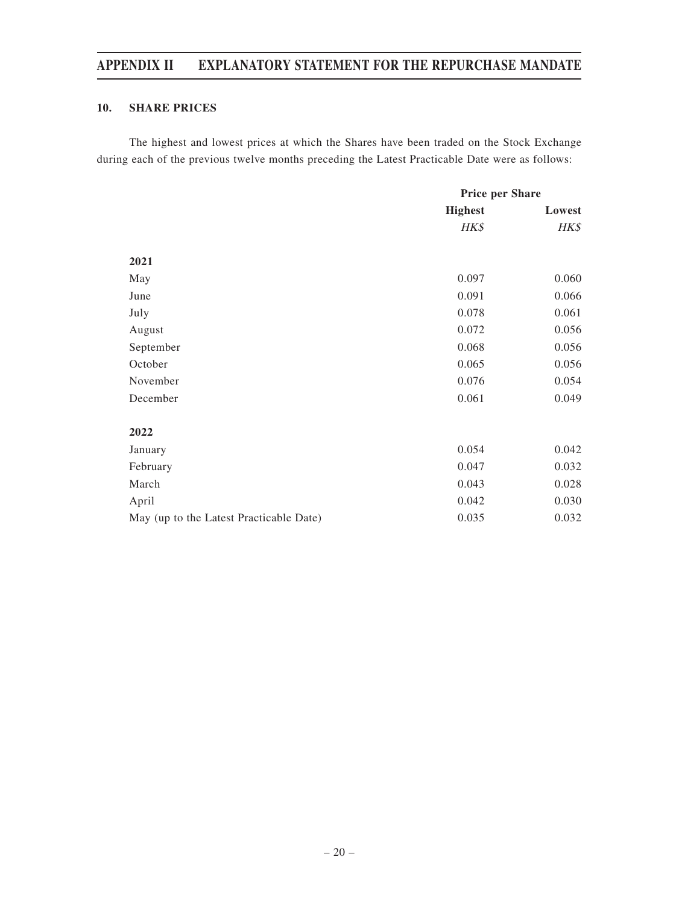### **10. SHARE PRICES**

The highest and lowest prices at which the Shares have been traded on the Stock Exchange during each of the previous twelve months preceding the Latest Practicable Date were as follows:

|                                         | <b>Price per Share</b> |        |
|-----------------------------------------|------------------------|--------|
|                                         | <b>Highest</b>         | Lowest |
|                                         | HK\$                   | HK\$   |
| 2021                                    |                        |        |
| May                                     | 0.097                  | 0.060  |
| June                                    | 0.091                  | 0.066  |
| July                                    | 0.078                  | 0.061  |
| August                                  | 0.072                  | 0.056  |
| September                               | 0.068                  | 0.056  |
| October                                 | 0.065                  | 0.056  |
| November                                | 0.076                  | 0.054  |
| December                                | 0.061                  | 0.049  |
| 2022                                    |                        |        |
| January                                 | 0.054                  | 0.042  |
| February                                | 0.047                  | 0.032  |
| March                                   | 0.043                  | 0.028  |
| April                                   | 0.042                  | 0.030  |
| May (up to the Latest Practicable Date) | 0.035                  | 0.032  |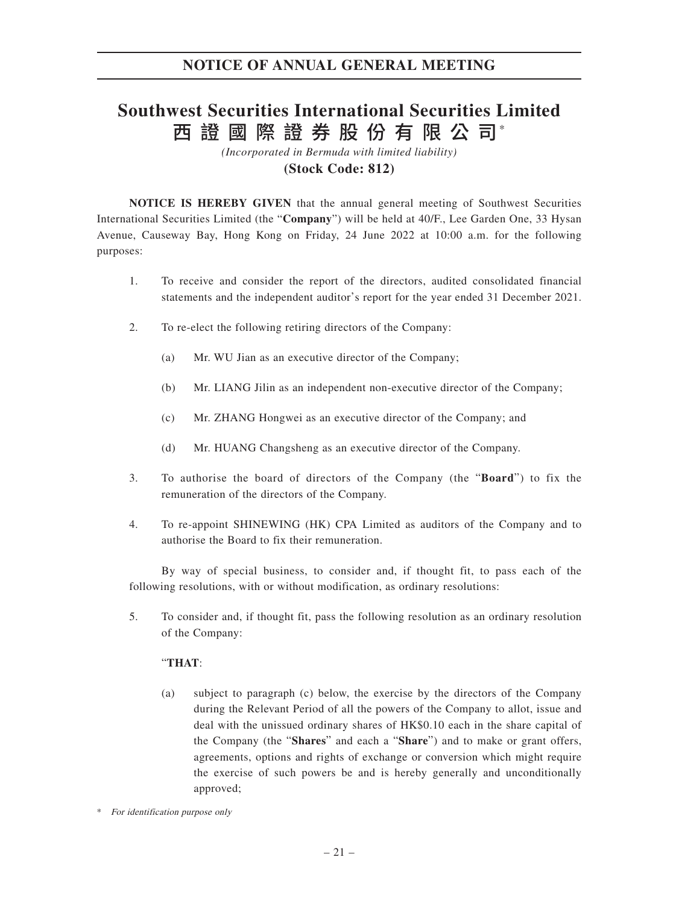# 西 證 國 際 證 券 股 份 有 限 公 司\* **Southwest Securities International Securities Limited**

*(Incorporated in Bermuda with limited liability)*

### **(Stock Code: 812)**

**NOTICE IS HEREBY GIVEN** that the annual general meeting of Southwest Securities International Securities Limited (the "**Company**") will be held at 40/F., Lee Garden One, 33 Hysan Avenue, Causeway Bay, Hong Kong on Friday, 24 June 2022 at 10:00 a.m. for the following purposes:

- 1. To receive and consider the report of the directors, audited consolidated financial statements and the independent auditor's report for the year ended 31 December 2021.
- 2. To re-elect the following retiring directors of the Company:
	- (a) Mr. WU Jian as an executive director of the Company;
	- (b) Mr. LIANG Jilin as an independent non-executive director of the Company;
	- (c) Mr. ZHANG Hongwei as an executive director of the Company; and
	- (d) Mr. HUANG Changsheng as an executive director of the Company.
- 3. To authorise the board of directors of the Company (the "**Board**") to fix the remuneration of the directors of the Company.
- 4. To re-appoint SHINEWING (HK) CPA Limited as auditors of the Company and to authorise the Board to fix their remuneration.

By way of special business, to consider and, if thought fit, to pass each of the following resolutions, with or without modification, as ordinary resolutions:

5. To consider and, if thought fit, pass the following resolution as an ordinary resolution of the Company:

#### "**THAT**:

(a) subject to paragraph (c) below, the exercise by the directors of the Company during the Relevant Period of all the powers of the Company to allot, issue and deal with the unissued ordinary shares of HK\$0.10 each in the share capital of the Company (the "**Shares**" and each a "**Share**") and to make or grant offers, agreements, options and rights of exchange or conversion which might require the exercise of such powers be and is hereby generally and unconditionally approved;

<sup>\*</sup> For identification purpose only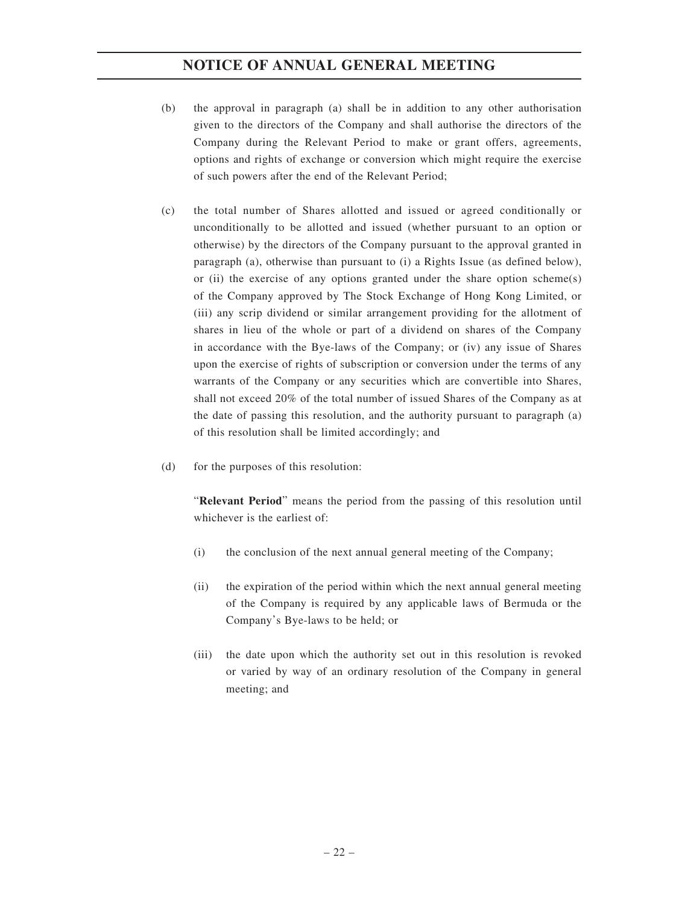- (b) the approval in paragraph (a) shall be in addition to any other authorisation given to the directors of the Company and shall authorise the directors of the Company during the Relevant Period to make or grant offers, agreements, options and rights of exchange or conversion which might require the exercise of such powers after the end of the Relevant Period;
- (c) the total number of Shares allotted and issued or agreed conditionally or unconditionally to be allotted and issued (whether pursuant to an option or otherwise) by the directors of the Company pursuant to the approval granted in paragraph (a), otherwise than pursuant to (i) a Rights Issue (as defined below), or (ii) the exercise of any options granted under the share option scheme(s) of the Company approved by The Stock Exchange of Hong Kong Limited, or (iii) any scrip dividend or similar arrangement providing for the allotment of shares in lieu of the whole or part of a dividend on shares of the Company in accordance with the Bye-laws of the Company; or (iv) any issue of Shares upon the exercise of rights of subscription or conversion under the terms of any warrants of the Company or any securities which are convertible into Shares, shall not exceed 20% of the total number of issued Shares of the Company as at the date of passing this resolution, and the authority pursuant to paragraph (a) of this resolution shall be limited accordingly; and
- (d) for the purposes of this resolution:

"**Relevant Period**" means the period from the passing of this resolution until whichever is the earliest of:

- (i) the conclusion of the next annual general meeting of the Company;
- (ii) the expiration of the period within which the next annual general meeting of the Company is required by any applicable laws of Bermuda or the Company's Bye-laws to be held; or
- (iii) the date upon which the authority set out in this resolution is revoked or varied by way of an ordinary resolution of the Company in general meeting; and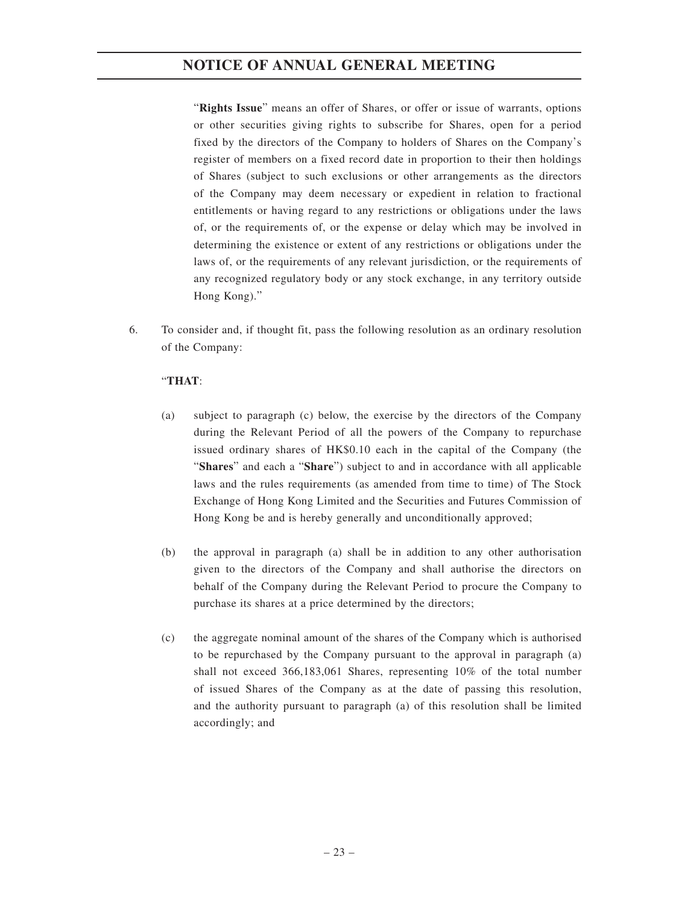"**Rights Issue**" means an offer of Shares, or offer or issue of warrants, options or other securities giving rights to subscribe for Shares, open for a period fixed by the directors of the Company to holders of Shares on the Company's register of members on a fixed record date in proportion to their then holdings of Shares (subject to such exclusions or other arrangements as the directors of the Company may deem necessary or expedient in relation to fractional entitlements or having regard to any restrictions or obligations under the laws of, or the requirements of, or the expense or delay which may be involved in determining the existence or extent of any restrictions or obligations under the laws of, or the requirements of any relevant jurisdiction, or the requirements of any recognized regulatory body or any stock exchange, in any territory outside Hong Kong)."

6. To consider and, if thought fit, pass the following resolution as an ordinary resolution of the Company:

### "**THAT**:

- (a) subject to paragraph (c) below, the exercise by the directors of the Company during the Relevant Period of all the powers of the Company to repurchase issued ordinary shares of HK\$0.10 each in the capital of the Company (the "**Shares**" and each a "**Share**") subject to and in accordance with all applicable laws and the rules requirements (as amended from time to time) of The Stock Exchange of Hong Kong Limited and the Securities and Futures Commission of Hong Kong be and is hereby generally and unconditionally approved;
- (b) the approval in paragraph (a) shall be in addition to any other authorisation given to the directors of the Company and shall authorise the directors on behalf of the Company during the Relevant Period to procure the Company to purchase its shares at a price determined by the directors;
- (c) the aggregate nominal amount of the shares of the Company which is authorised to be repurchased by the Company pursuant to the approval in paragraph (a) shall not exceed 366,183,061 Shares, representing 10% of the total number of issued Shares of the Company as at the date of passing this resolution, and the authority pursuant to paragraph (a) of this resolution shall be limited accordingly; and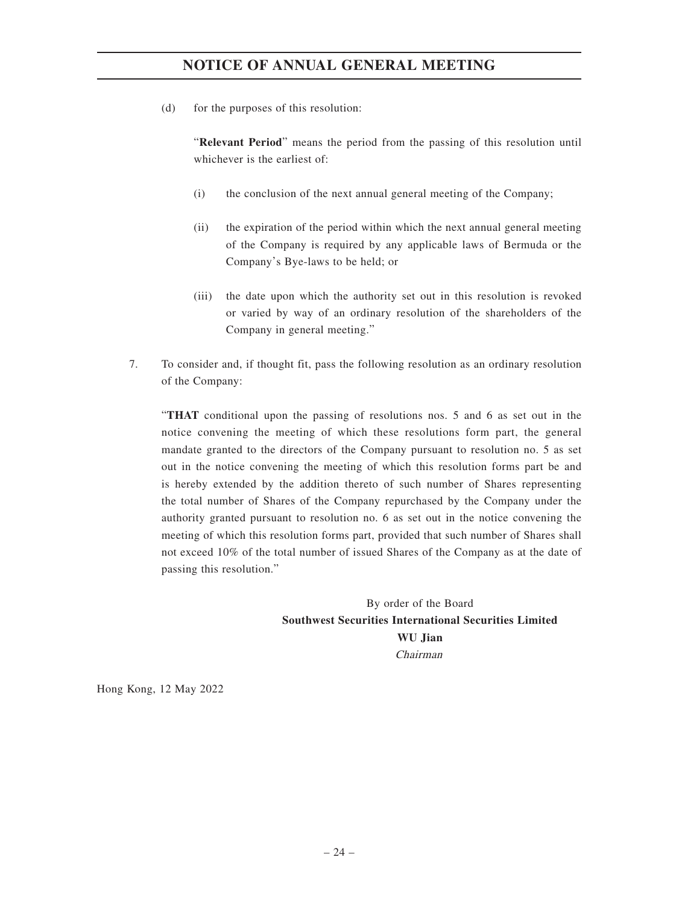(d) for the purposes of this resolution:

"**Relevant Period**" means the period from the passing of this resolution until whichever is the earliest of:

- (i) the conclusion of the next annual general meeting of the Company;
- (ii) the expiration of the period within which the next annual general meeting of the Company is required by any applicable laws of Bermuda or the Company's Bye-laws to be held; or
- (iii) the date upon which the authority set out in this resolution is revoked or varied by way of an ordinary resolution of the shareholders of the Company in general meeting."
- 7. To consider and, if thought fit, pass the following resolution as an ordinary resolution of the Company:

"**THAT** conditional upon the passing of resolutions nos. 5 and 6 as set out in the notice convening the meeting of which these resolutions form part, the general mandate granted to the directors of the Company pursuant to resolution no. 5 as set out in the notice convening the meeting of which this resolution forms part be and is hereby extended by the addition thereto of such number of Shares representing the total number of Shares of the Company repurchased by the Company under the authority granted pursuant to resolution no. 6 as set out in the notice convening the meeting of which this resolution forms part, provided that such number of Shares shall not exceed 10% of the total number of issued Shares of the Company as at the date of passing this resolution."

> By order of the Board **Southwest Securities International Securities Limited WU Jian** Chairman

Hong Kong, 12 May 2022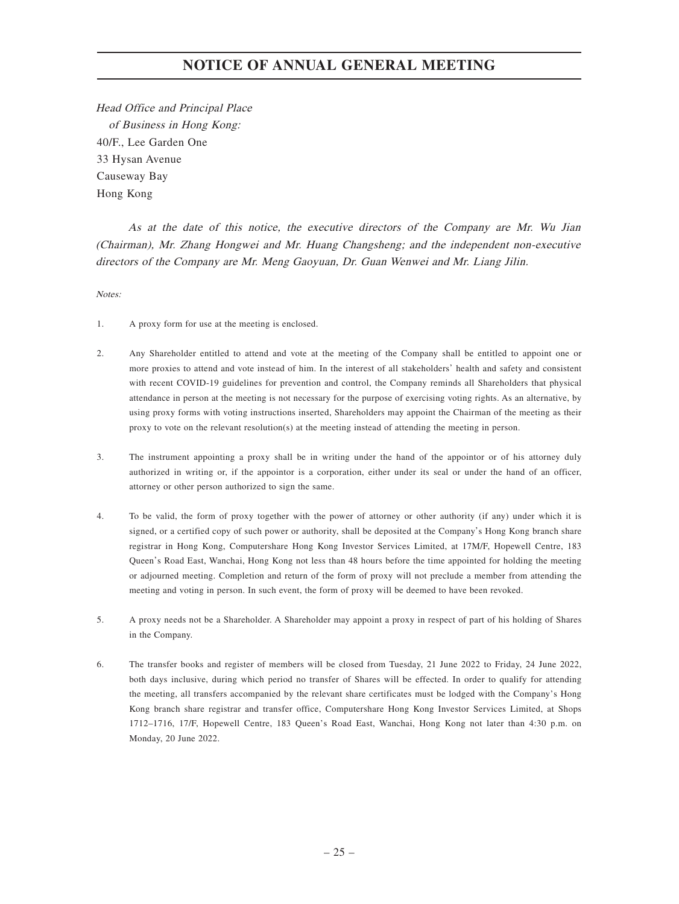Head Office and Principal Place of Business in Hong Kong: 40/F., Lee Garden One 33 Hysan Avenue Causeway Bay Hong Kong

As at the date of this notice, the executive directors of the Company are Mr. Wu Jian (Chairman), Mr. Zhang Hongwei and Mr. Huang Changsheng; and the independent non-executive directors of the Company are Mr. Meng Gaoyuan, Dr. Guan Wenwei and Mr. Liang Jilin.

Notes:

- 1. A proxy form for use at the meeting is enclosed.
- 2. Any Shareholder entitled to attend and vote at the meeting of the Company shall be entitled to appoint one or more proxies to attend and vote instead of him. In the interest of all stakeholders' health and safety and consistent with recent COVID-19 guidelines for prevention and control, the Company reminds all Shareholders that physical attendance in person at the meeting is not necessary for the purpose of exercising voting rights. As an alternative, by using proxy forms with voting instructions inserted, Shareholders may appoint the Chairman of the meeting as their proxy to vote on the relevant resolution(s) at the meeting instead of attending the meeting in person.
- 3. The instrument appointing a proxy shall be in writing under the hand of the appointor or of his attorney duly authorized in writing or, if the appointor is a corporation, either under its seal or under the hand of an officer, attorney or other person authorized to sign the same.
- 4. To be valid, the form of proxy together with the power of attorney or other authority (if any) under which it is signed, or a certified copy of such power or authority, shall be deposited at the Company's Hong Kong branch share registrar in Hong Kong, Computershare Hong Kong Investor Services Limited, at 17M/F, Hopewell Centre, 183 Queen's Road East, Wanchai, Hong Kong not less than 48 hours before the time appointed for holding the meeting or adjourned meeting. Completion and return of the form of proxy will not preclude a member from attending the meeting and voting in person. In such event, the form of proxy will be deemed to have been revoked.
- 5. A proxy needs not be a Shareholder. A Shareholder may appoint a proxy in respect of part of his holding of Shares in the Company.
- 6. The transfer books and register of members will be closed from Tuesday, 21 June 2022 to Friday, 24 June 2022, both days inclusive, during which period no transfer of Shares will be effected. In order to qualify for attending the meeting, all transfers accompanied by the relevant share certificates must be lodged with the Company's Hong Kong branch share registrar and transfer office, Computershare Hong Kong Investor Services Limited, at Shops 1712–1716, 17/F, Hopewell Centre, 183 Queen's Road East, Wanchai, Hong Kong not later than 4:30 p.m. on Monday, 20 June 2022.